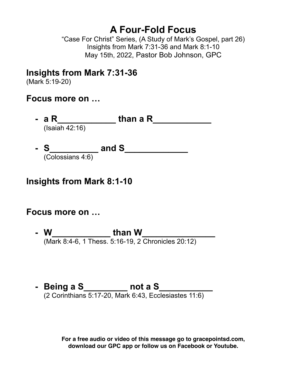# **A Four-Fold Focus**

"Case For Christ" Series, (A Study of Mark's Gospel, part 26) Insights from Mark 7:31-36 and Mark 8:1-10 May 15th, 2022, Pastor Bob Johnson, GPC

## **Insights from Mark 7:31-36**

(Mark 5:19-20)

## **Focus more on …**

**- a R\_\_\_\_\_\_\_\_\_\_\_\_ than a R\_\_\_\_\_\_\_\_\_\_\_\_** (Isaiah 42:16)

**- S\_\_\_\_\_\_\_\_\_\_ and S\_\_\_\_\_\_\_\_\_\_\_\_\_** (Colossians 4:6)

## **Insights from Mark 8:1-10**

## **Focus more on …**

- **- W\_\_\_\_\_\_\_\_\_\_\_\_ than W\_\_\_\_\_\_\_\_\_\_\_\_\_\_\_** (Mark 8:4-6, 1 Thess. 5:16-19, 2 Chronicles 20:12)
- **Being a S\_\_\_\_\_\_\_\_\_** not a S\_\_\_\_\_\_\_\_\_ (2 Corinthians 5:17-20, Mark 6:43, Ecclesiastes 11:6)

**For a free audio or video of this message go to gracepointsd.com, download our GPC app or follow us on Facebook or Youtube.**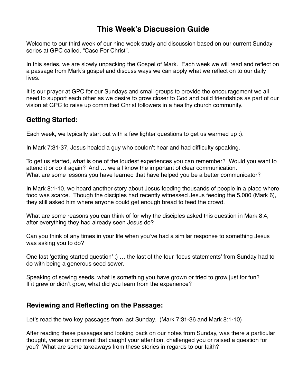### **This Week's Discussion Guide**

Welcome to our third week of our nine week study and discussion based on our current Sunday series at GPC called, "Case For Christ".

In this series, we are slowly unpacking the Gospel of Mark. Each week we will read and reflect on a passage from Mark's gospel and discuss ways we can apply what we reflect on to our daily lives.

It is our prayer at GPC for our Sundays and small groups to provide the encouragement we all need to support each other as we desire to grow closer to God and build friendships as part of our vision at GPC to raise up committed Christ followers in a healthy church community.

### **Getting Started:**

Each week, we typically start out with a few lighter questions to get us warmed up :).

In Mark 7:31-37, Jesus healed a guy who couldn't hear and had difficulty speaking.

To get us started, what is one of the loudest experiences you can remember? Would you want to attend it or do it again? And … we all know the important of clear communication. What are some lessons you have learned that have helped you be a better communicator?

In Mark 8:1-10, we heard another story about Jesus feeding thousands of people in a place where food was scarce. Though the disciples had recently witnessed Jesus feeding the 5,000 (Mark 6), they still asked him where anyone could get enough bread to feed the crowd.

What are some reasons you can think of for why the disciples asked this question in Mark 8:4, after everything they had already seen Jesus do?

Can you think of any times in your life when you've had a similar response to something Jesus was asking you to do?

One last 'getting started question' :) … the last of the four 'focus statements' from Sunday had to do with being a generous seed sower.

Speaking of sowing seeds, what is something you have grown or tried to grow just for fun? If it grew or didn't grow, what did you learn from the experience?

### **Reviewing and Reflecting on the Passage:**

Let's read the two key passages from last Sunday. (Mark 7:31-36 and Mark 8:1-10)

After reading these passages and looking back on our notes from Sunday, was there a particular thought, verse or comment that caught your attention, challenged you or raised a question for you? What are some takeaways from these stories in regards to our faith?